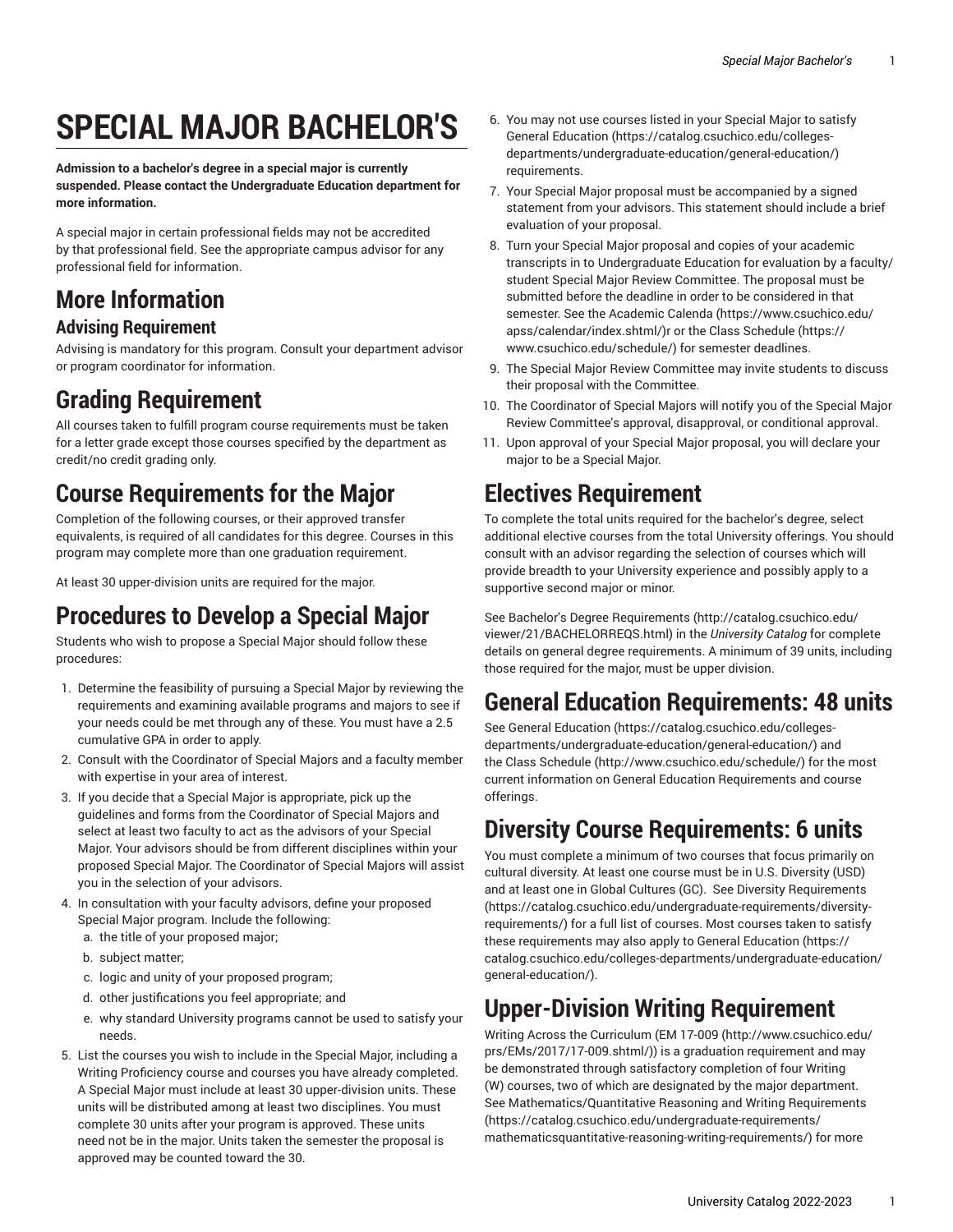# **SPECIAL MAJOR BACHELOR'S**

**Admission to a bachelor's degree in a special major is currently suspended. Please contact the Undergraduate Education department for more information.**

A special major in certain professional fields may not be accredited by that professional field. See the appropriate campus advisor for any professional field for information.

## **More Information**

#### **Advising Requirement**

Advising is mandatory for this program. Consult your department advisor or program coordinator for information.

#### **Grading Requirement**

All courses taken to fulfill program course requirements must be taken for a letter grade except those courses specified by the department as credit/no credit grading only.

### **Course Requirements for the Major**

Completion of the following courses, or their approved transfer equivalents, is required of all candidates for this degree. Courses in this program may complete more than one graduation requirement.

At least 30 upper-division units are required for the major.

#### **Procedures to Develop a Special Major**

Students who wish to propose a Special Major should follow these procedures:

- 1. Determine the feasibility of pursuing a Special Major by reviewing the requirements and examining available programs and majors to see if your needs could be met through any of these. You must have a 2.5 cumulative GPA in order to apply.
- 2. Consult with the Coordinator of Special Majors and a faculty member with expertise in your area of interest.
- 3. If you decide that a Special Major is appropriate, pick up the guidelines and forms from the Coordinator of Special Majors and select at least two faculty to act as the advisors of your Special Major. Your advisors should be from different disciplines within your proposed Special Major. The Coordinator of Special Majors will assist you in the selection of your advisors.
- 4. In consultation with your faculty advisors, define your proposed Special Major program. Include the following:
	- a. the title of your proposed major;
	- b. subject matter;
	- c. logic and unity of your proposed program;
	- d. other justifications you feel appropriate; and
	- e. why standard University programs cannot be used to satisfy your needs.
- 5. List the courses you wish to include in the Special Major, including a Writing Proficiency course and courses you have already completed. A Special Major must include at least 30 upper-division units. These units will be distributed among at least two disciplines. You must complete 30 units after your program is approved. These units need not be in the major. Units taken the semester the proposal is approved may be counted toward the 30.
- 6. You may not use courses listed in your Special Major to satisfy General [Education](https://catalog.csuchico.edu/colleges-departments/undergraduate-education/general-education/) ([https://catalog.csuchico.edu/colleges](https://catalog.csuchico.edu/colleges-departments/undergraduate-education/general-education/)[departments/undergraduate-education/general-education/\)](https://catalog.csuchico.edu/colleges-departments/undergraduate-education/general-education/) requirements.
- 7. Your Special Major proposal must be accompanied by a signed statement from your advisors. This statement should include a brief evaluation of your proposal.
- 8. Turn your Special Major proposal and copies of your academic transcripts in to Undergraduate Education for evaluation by a faculty/ student Special Major Review Committee. The proposal must be submitted before the deadline in order to be considered in that semester. See the [Academic Calenda](https://www.csuchico.edu/apss/calendar/index.shtml/) ([https://www.csuchico.edu/](https://www.csuchico.edu/apss/calendar/index.shtml/) [apss/calendar/index.shtml/\)](https://www.csuchico.edu/apss/calendar/index.shtml/)r or the [Class Schedule](https://www.csuchico.edu/schedule/) ([https://](https://www.csuchico.edu/schedule/) [www.csuchico.edu/schedule/](https://www.csuchico.edu/schedule/)) for semester deadlines.
- 9. The Special Major Review Committee may invite students to discuss their proposal with the Committee.
- 10. The Coordinator of Special Majors will notify you of the Special Major Review Committee's approval, disapproval, or conditional approval.
- 11. Upon approval of your Special Major proposal, you will declare your major to be a Special Major.

#### **Electives Requirement**

To complete the total units required for the bachelor's degree, select additional elective courses from the total University offerings. You should consult with an advisor regarding the selection of courses which will provide breadth to your University experience and possibly apply to a supportive second major or minor.

See Bachelor's Degree [Requirements \(http://catalog.csuchico.edu/](http://catalog.csuchico.edu/viewer/21/BACHELORREQS.html) [viewer/21/BACHELORREQS.html\)](http://catalog.csuchico.edu/viewer/21/BACHELORREQS.html) in the *University Catalog* for complete details on general degree requirements. A minimum of 39 units, including those required for the major, must be upper division.

#### **General Education Requirements: 48 units**

See General [Education \(https://catalog.csuchico.edu/colleges](https://catalog.csuchico.edu/colleges-departments/undergraduate-education/general-education/)[departments/undergraduate-education/general-education/\)](https://catalog.csuchico.edu/colleges-departments/undergraduate-education/general-education/) and the [Class Schedule](http://www.csuchico.edu/schedule/) ([http://www.csuchico.edu/schedule/\)](http://www.csuchico.edu/schedule/) for the most current information on General Education Requirements and course offerings.

#### **Diversity Course Requirements: 6 units**

You must complete a minimum of two courses that focus primarily on cultural diversity. At least one course must be in U.S. Diversity (USD) and at least one in Global Cultures (GC). See Diversity [Requirements](https://catalog.csuchico.edu/undergraduate-requirements/diversity-requirements/) [\(https://catalog.csuchico.edu/undergraduate-requirements/diversity](https://catalog.csuchico.edu/undergraduate-requirements/diversity-requirements/)[requirements/](https://catalog.csuchico.edu/undergraduate-requirements/diversity-requirements/)) for a full list of courses. Most courses taken to satisfy these requirements may also apply to General [Education \(https://](https://catalog.csuchico.edu/colleges-departments/undergraduate-education/general-education/) [catalog.csuchico.edu/colleges-departments/undergraduate-education/](https://catalog.csuchico.edu/colleges-departments/undergraduate-education/general-education/) [general-education/](https://catalog.csuchico.edu/colleges-departments/undergraduate-education/general-education/)).

#### **Upper-Division Writing Requirement**

Writing Across the Curriculum [\(EM 17-009 \(http://www.csuchico.edu/](http://www.csuchico.edu/prs/EMs/2017/17-009.shtml/) [prs/EMs/2017/17-009.shtml/](http://www.csuchico.edu/prs/EMs/2017/17-009.shtml/))) is a graduation requirement and may be demonstrated through satisfactory completion of four Writing (W) courses, two of which are designated by the major department. See [Mathematics/Quantitative](https://catalog.csuchico.edu/undergraduate-requirements/mathematicsquantitative-reasoning-writing-requirements/) Reasoning and Writing Requirements [\(https://catalog.csuchico.edu/undergraduate-requirements/](https://catalog.csuchico.edu/undergraduate-requirements/mathematicsquantitative-reasoning-writing-requirements/) [mathematicsquantitative-reasoning-writing-requirements/\)](https://catalog.csuchico.edu/undergraduate-requirements/mathematicsquantitative-reasoning-writing-requirements/) for more